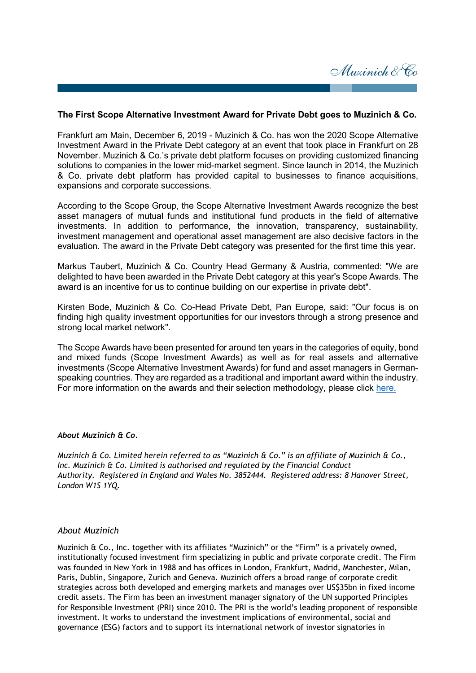

## **The First Scope Alternative Investment Award for Private Debt goes to Muzinich & Co.**

Frankfurt am Main, December 6, 2019 - Muzinich & Co. has won the 2020 Scope Alternative Investment Award in the Private Debt category at an event that took place in Frankfurt on 28 November. Muzinich & Co.'s private debt platform focuses on providing customized financing solutions to companies in the lower mid-market segment. Since launch in 2014, the Muzinich & Co. private debt platform has provided capital to businesses to finance acquisitions, expansions and corporate successions.

According to the Scope Group, the Scope Alternative Investment Awards recognize the best asset managers of mutual funds and institutional fund products in the field of alternative investments. In addition to performance, the innovation, transparency, sustainability, investment management and operational asset management are also decisive factors in the evaluation. The award in the Private Debt category was presented for the first time this year.

Markus Taubert, Muzinich & Co. Country Head Germany & Austria, commented: "We are delighted to have been awarded in the Private Debt category at this year's Scope Awards. The award is an incentive for us to continue building on our expertise in private debt".

Kirsten Bode, Muzinich & Co. Co-Head Private Debt, Pan Europe, said: "Our focus is on finding high quality investment opportunities for our investors through a strong presence and strong local market network".

The Scope Awards have been presented for around ten years in the categories of equity, bond and mixed funds (Scope Investment Awards) as well as for real assets and alternative investments (Scope Alternative Investment Awards) for fund and asset managers in Germanspeaking countries. They are regarded as a traditional and important award within the industry. For more information on the awards and their selection methodology, please click [here.](https://www.scope-awards.com/en/awards-2020/alternative-investment-awards/nomination-conditions/)

#### *About Muzinich & Co.*

*Muzinich & Co. Limited herein referred to as "Muzinich & Co." is an affiliate of Muzinich & Co., Inc. Muzinich & Co. Limited is authorised and regulated by the Financial Conduct Authority. Registered in England and Wales No. 3852444. Registered address: 8 Hanover Street, London W1S 1YQ.*

### *About Muzinich*

Muzinich & Co., Inc. together with its affiliates "Muzinich" or the "Firm" is a privately owned, institutionally focused investment firm specializing in public and private corporate credit. The Firm was founded in New York in 1988 and has offices in London, Frankfurt, Madrid, Manchester, Milan, Paris, Dublin, Singapore, Zurich and Geneva. Muzinich offers a broad range of corporate credit strategies across both developed and emerging markets and manages over US\$35bn in fixed income credit assets. The Firm has been an investment manager signatory of the UN supported Principles for Responsible Investment (PRI) since 2010. The PRI is the world's leading proponent of responsible investment. It works to understand the investment implications of environmental, social and governance (ESG) factors and to support its international network of investor signatories in